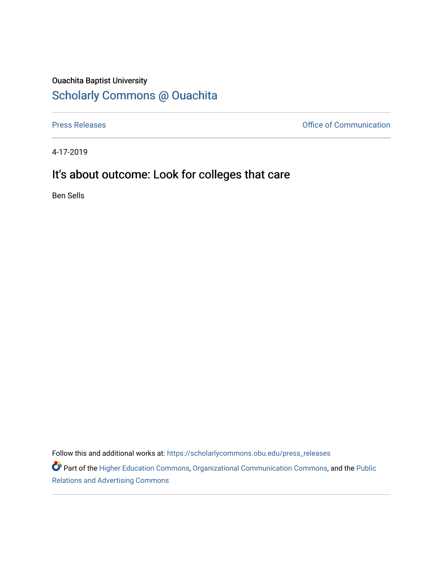## Ouachita Baptist University

## [Scholarly Commons @ Ouachita](https://scholarlycommons.obu.edu/)

[Press Releases](https://scholarlycommons.obu.edu/press_releases) **Press Releases Communication** 

4-17-2019

## It's about outcome: Look for colleges that care

Ben Sells

Follow this and additional works at: [https://scholarlycommons.obu.edu/press\\_releases](https://scholarlycommons.obu.edu/press_releases?utm_source=scholarlycommons.obu.edu%2Fpress_releases%2F811&utm_medium=PDF&utm_campaign=PDFCoverPages)

Part of the [Higher Education Commons,](http://network.bepress.com/hgg/discipline/1245?utm_source=scholarlycommons.obu.edu%2Fpress_releases%2F811&utm_medium=PDF&utm_campaign=PDFCoverPages) [Organizational Communication Commons,](http://network.bepress.com/hgg/discipline/335?utm_source=scholarlycommons.obu.edu%2Fpress_releases%2F811&utm_medium=PDF&utm_campaign=PDFCoverPages) and the [Public](http://network.bepress.com/hgg/discipline/336?utm_source=scholarlycommons.obu.edu%2Fpress_releases%2F811&utm_medium=PDF&utm_campaign=PDFCoverPages) [Relations and Advertising Commons](http://network.bepress.com/hgg/discipline/336?utm_source=scholarlycommons.obu.edu%2Fpress_releases%2F811&utm_medium=PDF&utm_campaign=PDFCoverPages)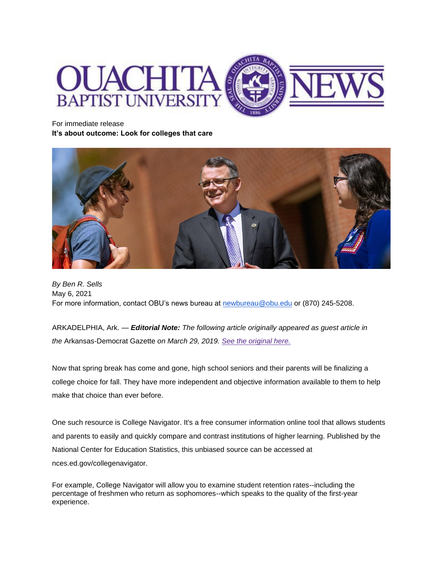

For immediate release **It's about outcome: Look for colleges that care**



*By Ben R. Sells* May 6, 2021 For more information, contact OBU's news bureau at [newbureau@obu.edu](mailto:newbureau@obu.edu) or (870) 245-5208.

ARKADELPHIA, Ark. — *Editorial Note: The following article originally appeared as guest article in the* Arkansas-Democrat Gazette *on March 29, 2019. [See the original here.](https://www.arkansasonline.com/news/2019/mar/29/it-s-about-outcome-20190329/?opinion)*

Now that spring break has come and gone, high school seniors and their parents will be finalizing a college choice for fall. They have more independent and objective information available to them to help make that choice than ever before.

One such resource is College Navigator. It's a free consumer information online tool that allows students and parents to easily and quickly compare and contrast institutions of higher learning. Published by the National Center for Education Statistics, this unbiased source can be accessed at nces.ed.gov/collegenavigator.

For example, College Navigator will allow you to examine student retention rates--including the percentage of freshmen who return as sophomores--which speaks to the quality of the first-year experience.